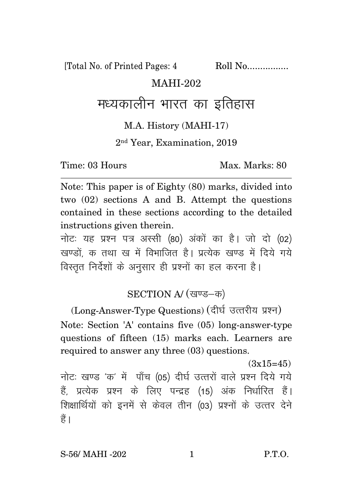[Total No. of Printed Pages: 4 Roll No.................

#### MAHI-202

# मध्यकालीन भारत का इतिहास

#### M.A. History (MAHI-17)

2 nd Year, Examination, 2019

Time: 03 Hours Max. Max. Marks: 80

Note: This paper is of Eighty (80) marks, divided into two (02) sections A and B. Attempt the questions contained in these sections according to the detailed instructions given therein.

नोट: यह प्रश्न पत्र अस्सी (80) अंकों का है। जो दो (02) खण्डों क तथा ख में विभाजित है। प्रत्येक खण्ड में दिये गये विस्तत निर्देशों के अनसार ही प्रश्नों का हल करना है।

### SECTION A/ (खण्ड-क)

(Long-Answer-Type Questions) (दीर्घ उत्तरीय प्रश्न) Note: Section 'A' contains five (05) long-answer-type questions of fifteen (15) marks each. Learners are required to answer any three (03) questions.

 $(3x15=45)$ नोटः खण्ड 'क' में पाँच (05) दीर्घ उत्तरों वाले प्रश्न दिये गये हैं, प्रत्येक प्रश्न के लिए पन्द्रह (15) अंक निर्धारित हैं। शिक्षार्थियों को इनमें से केवल तीन (03) प्रश्नों के उत्तर देने हैं ।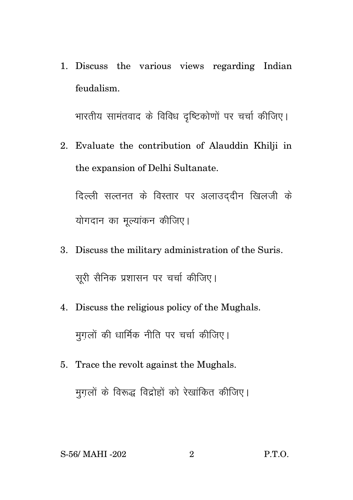1. Discuss the various views regarding Indian feudalism.

भारतीय सामंतवाद के विविध दृष्टिकोणों पर चर्चा कीजिए।

2. Evaluate the contribution of Alauddin Khilji in the expansion of Delhi Sultanate.

दिल्ली सल्तनत के विस्तार पर अलाउद्दीन खिलजी के योगदान का मुल्यांकन कीजिए।

- 3. Discuss the military administration of the Suris. सूरी सैनिक प्रशासन पर चर्चा कीजिए।
- 4. Discuss the religious policy of the Mughals. मुगलों की धार्मिक नीति पर चर्चा कीजिए।
- 5. Trace the revolt against the Mughals. मुग़लों के विरूद्ध विद्रोहों को रेखांकित कीजिए।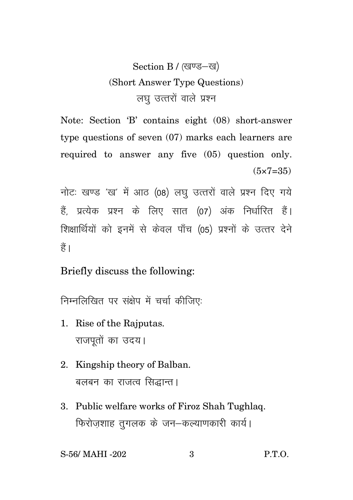## Section B / (खण्ड-ख) (Short Answer Type Questions) लघ उत्तरों वाले प्रश्न

Note: Section 'B' contains eight (08) short-answer type questions of seven (07) marks each learners are required to answer any five (05) question only.  $(5 \times 7 = 35)$ 

नोटः खण्ड 'ख' में आठ (08) लघु उत्तरों वाले प्रश्न दिए गये हैं प्रत्येक प्रश्न के लिए सात (07) अंक निर्धारित हैं। शिक्षार्थियों को इनमें से केवल पाँच (05) प्रश्नों के उत्तर देने हैं।

Briefly discuss the following:

निम्नलिखित पर संक्षेप में चर्चा कीजिए:

- 1. Rise of the Rajputas. राजपतों का उदय।
- 2. Kingship theory of Balban. बलबन का राजत्व सिद्धान्त।
- 3. Public welfare works of Firoz Shah Tughlaq. फिरोजशाह तुगलक के जन-कल्याणकारी कार्य।